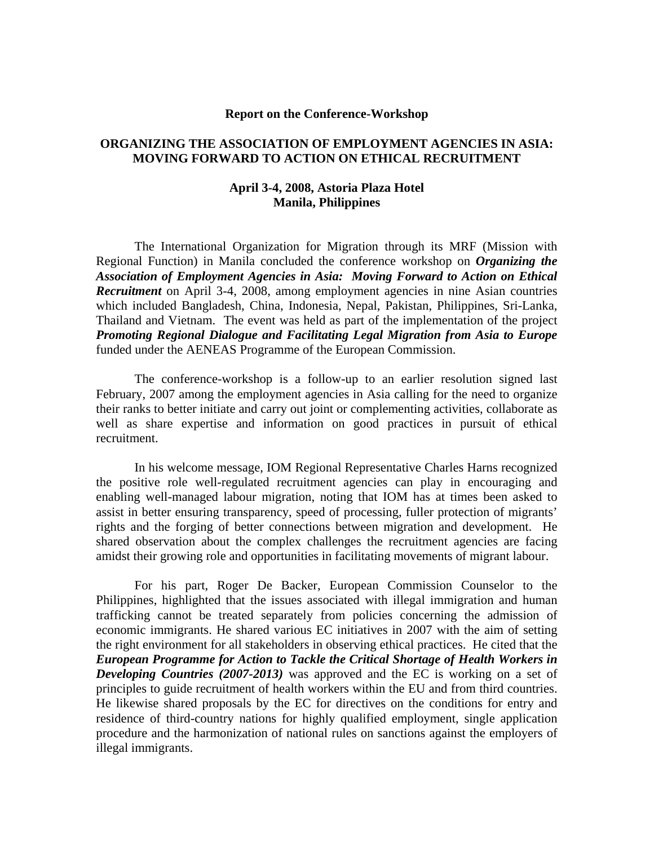### **Report on the Conference-Workshop**

# **ORGANIZING THE ASSOCIATION OF EMPLOYMENT AGENCIES IN ASIA: MOVING FORWARD TO ACTION ON ETHICAL RECRUITMENT**

# **April 3-4, 2008, Astoria Plaza Hotel Manila, Philippines**

The International Organization for Migration through its MRF (Mission with Regional Function) in Manila concluded the conference workshop on *Organizing the Association of Employment Agencies in Asia: Moving Forward to Action on Ethical Recruitment* on April 3-4, 2008, among employment agencies in nine Asian countries which included Bangladesh, China, Indonesia, Nepal, Pakistan, Philippines, Sri-Lanka, Thailand and Vietnam. The event was held as part of the implementation of the project *Promoting Regional Dialogue and Facilitating Legal Migration from Asia to Europe* funded under the AENEAS Programme of the European Commission.

 The conference-workshop is a follow-up to an earlier resolution signed last February, 2007 among the employment agencies in Asia calling for the need to organize their ranks to better initiate and carry out joint or complementing activities, collaborate as well as share expertise and information on good practices in pursuit of ethical recruitment.

 In his welcome message, IOM Regional Representative Charles Harns recognized the positive role well-regulated recruitment agencies can play in encouraging and enabling well-managed labour migration, noting that IOM has at times been asked to assist in better ensuring transparency, speed of processing, fuller protection of migrants' rights and the forging of better connections between migration and development. He shared observation about the complex challenges the recruitment agencies are facing amidst their growing role and opportunities in facilitating movements of migrant labour.

 For his part, Roger De Backer, European Commission Counselor to the Philippines, highlighted that the issues associated with illegal immigration and human trafficking cannot be treated separately from policies concerning the admission of economic immigrants. He shared various EC initiatives in 2007 with the aim of setting the right environment for all stakeholders in observing ethical practices. He cited that the *European Programme for Action to Tackle the Critical Shortage of Health Workers in Developing Countries (2007-2013)* was approved and the EC is working on a set of principles to guide recruitment of health workers within the EU and from third countries. He likewise shared proposals by the EC for directives on the conditions for entry and residence of third-country nations for highly qualified employment, single application procedure and the harmonization of national rules on sanctions against the employers of illegal immigrants.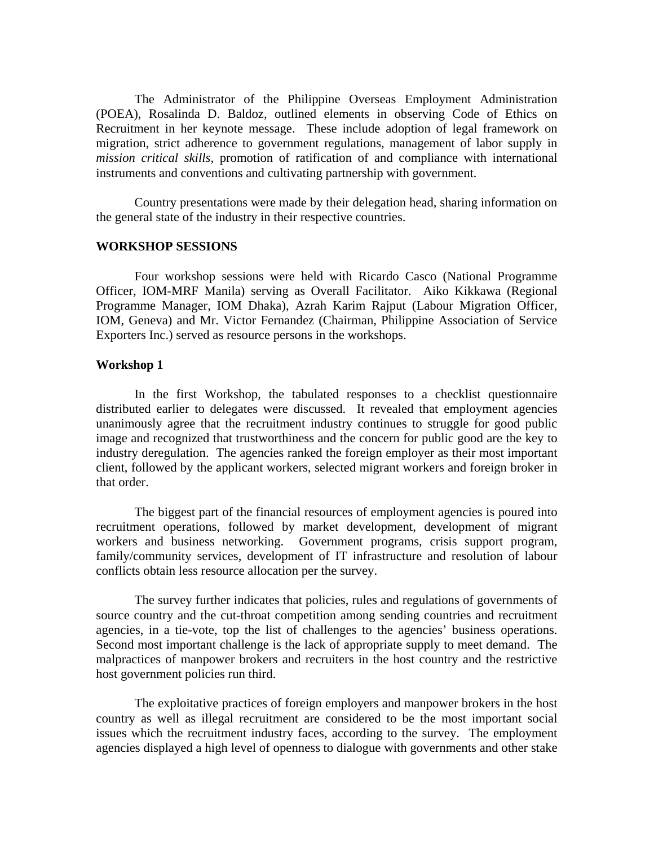The Administrator of the Philippine Overseas Employment Administration (POEA), Rosalinda D. Baldoz, outlined elements in observing Code of Ethics on Recruitment in her keynote message. These include adoption of legal framework on migration, strict adherence to government regulations, management of labor supply in *mission critical skills*, promotion of ratification of and compliance with international instruments and conventions and cultivating partnership with government.

 Country presentations were made by their delegation head, sharing information on the general state of the industry in their respective countries.

## **WORKSHOP SESSIONS**

Four workshop sessions were held with Ricardo Casco (National Programme Officer, IOM-MRF Manila) serving as Overall Facilitator. Aiko Kikkawa (Regional Programme Manager, IOM Dhaka), Azrah Karim Rajput (Labour Migration Officer, IOM, Geneva) and Mr. Victor Fernandez (Chairman, Philippine Association of Service Exporters Inc.) served as resource persons in the workshops.

### **Workshop 1**

 In the first Workshop, the tabulated responses to a checklist questionnaire distributed earlier to delegates were discussed. It revealed that employment agencies unanimously agree that the recruitment industry continues to struggle for good public image and recognized that trustworthiness and the concern for public good are the key to industry deregulation. The agencies ranked the foreign employer as their most important client, followed by the applicant workers, selected migrant workers and foreign broker in that order.

 The biggest part of the financial resources of employment agencies is poured into recruitment operations, followed by market development, development of migrant workers and business networking. Government programs, crisis support program, family/community services, development of IT infrastructure and resolution of labour conflicts obtain less resource allocation per the survey.

 The survey further indicates that policies, rules and regulations of governments of source country and the cut-throat competition among sending countries and recruitment agencies, in a tie-vote, top the list of challenges to the agencies' business operations. Second most important challenge is the lack of appropriate supply to meet demand. The malpractices of manpower brokers and recruiters in the host country and the restrictive host government policies run third.

 The exploitative practices of foreign employers and manpower brokers in the host country as well as illegal recruitment are considered to be the most important social issues which the recruitment industry faces, according to the survey. The employment agencies displayed a high level of openness to dialogue with governments and other stake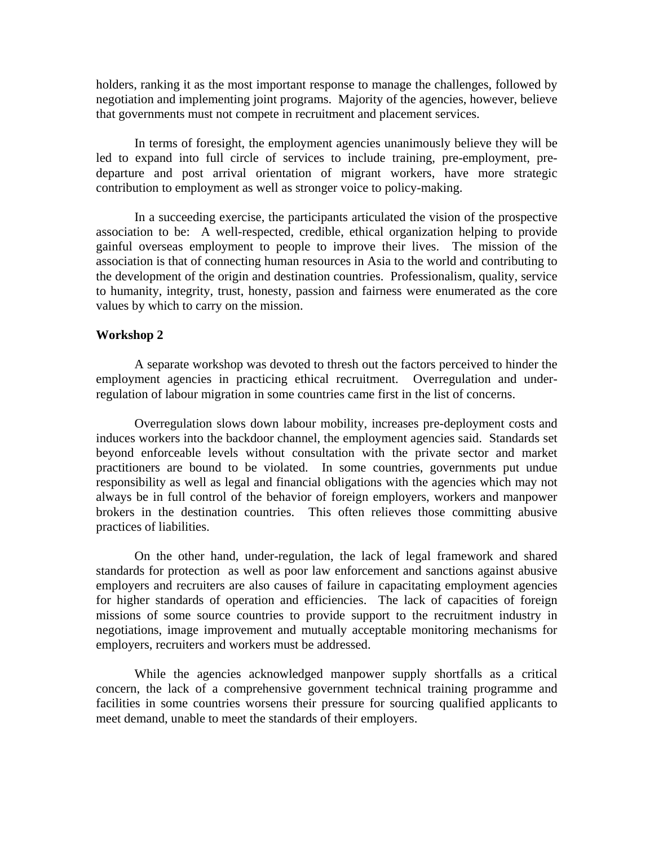holders, ranking it as the most important response to manage the challenges, followed by negotiation and implementing joint programs. Majority of the agencies, however, believe that governments must not compete in recruitment and placement services.

 In terms of foresight, the employment agencies unanimously believe they will be led to expand into full circle of services to include training, pre-employment, predeparture and post arrival orientation of migrant workers, have more strategic contribution to employment as well as stronger voice to policy-making.

 In a succeeding exercise, the participants articulated the vision of the prospective association to be: A well-respected, credible, ethical organization helping to provide gainful overseas employment to people to improve their lives. The mission of the association is that of connecting human resources in Asia to the world and contributing to the development of the origin and destination countries. Professionalism, quality, service to humanity, integrity, trust, honesty, passion and fairness were enumerated as the core values by which to carry on the mission.

#### **Workshop 2**

A separate workshop was devoted to thresh out the factors perceived to hinder the employment agencies in practicing ethical recruitment. Overregulation and underregulation of labour migration in some countries came first in the list of concerns.

Overregulation slows down labour mobility, increases pre-deployment costs and induces workers into the backdoor channel, the employment agencies said. Standards set beyond enforceable levels without consultation with the private sector and market practitioners are bound to be violated. In some countries, governments put undue responsibility as well as legal and financial obligations with the agencies which may not always be in full control of the behavior of foreign employers, workers and manpower brokers in the destination countries. This often relieves those committing abusive practices of liabilities.

On the other hand, under-regulation, the lack of legal framework and shared standards for protection as well as poor law enforcement and sanctions against abusive employers and recruiters are also causes of failure in capacitating employment agencies for higher standards of operation and efficiencies. The lack of capacities of foreign missions of some source countries to provide support to the recruitment industry in negotiations, image improvement and mutually acceptable monitoring mechanisms for employers, recruiters and workers must be addressed.

While the agencies acknowledged manpower supply shortfalls as a critical concern, the lack of a comprehensive government technical training programme and facilities in some countries worsens their pressure for sourcing qualified applicants to meet demand, unable to meet the standards of their employers.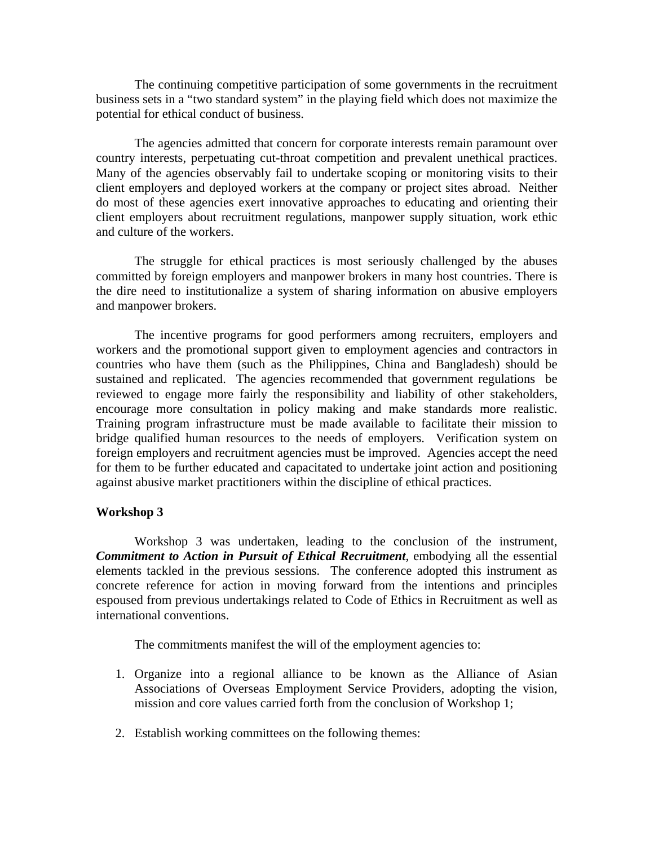The continuing competitive participation of some governments in the recruitment business sets in a "two standard system" in the playing field which does not maximize the potential for ethical conduct of business.

The agencies admitted that concern for corporate interests remain paramount over country interests, perpetuating cut-throat competition and prevalent unethical practices. Many of the agencies observably fail to undertake scoping or monitoring visits to their client employers and deployed workers at the company or project sites abroad. Neither do most of these agencies exert innovative approaches to educating and orienting their client employers about recruitment regulations, manpower supply situation, work ethic and culture of the workers.

The struggle for ethical practices is most seriously challenged by the abuses committed by foreign employers and manpower brokers in many host countries. There is the dire need to institutionalize a system of sharing information on abusive employers and manpower brokers.

The incentive programs for good performers among recruiters, employers and workers and the promotional support given to employment agencies and contractors in countries who have them (such as the Philippines, China and Bangladesh) should be sustained and replicated. The agencies recommended that government regulations be reviewed to engage more fairly the responsibility and liability of other stakeholders, encourage more consultation in policy making and make standards more realistic. Training program infrastructure must be made available to facilitate their mission to bridge qualified human resources to the needs of employers. Verification system on foreign employers and recruitment agencies must be improved. Agencies accept the need for them to be further educated and capacitated to undertake joint action and positioning against abusive market practitioners within the discipline of ethical practices.

## **Workshop 3**

 Workshop 3 was undertaken, leading to the conclusion of the instrument, *Commitment to Action in Pursuit of Ethical Recruitment*, embodying all the essential elements tackled in the previous sessions. The conference adopted this instrument as concrete reference for action in moving forward from the intentions and principles espoused from previous undertakings related to Code of Ethics in Recruitment as well as international conventions.

The commitments manifest the will of the employment agencies to:

- 1. Organize into a regional alliance to be known as the Alliance of Asian Associations of Overseas Employment Service Providers, adopting the vision, mission and core values carried forth from the conclusion of Workshop 1;
- 2. Establish working committees on the following themes: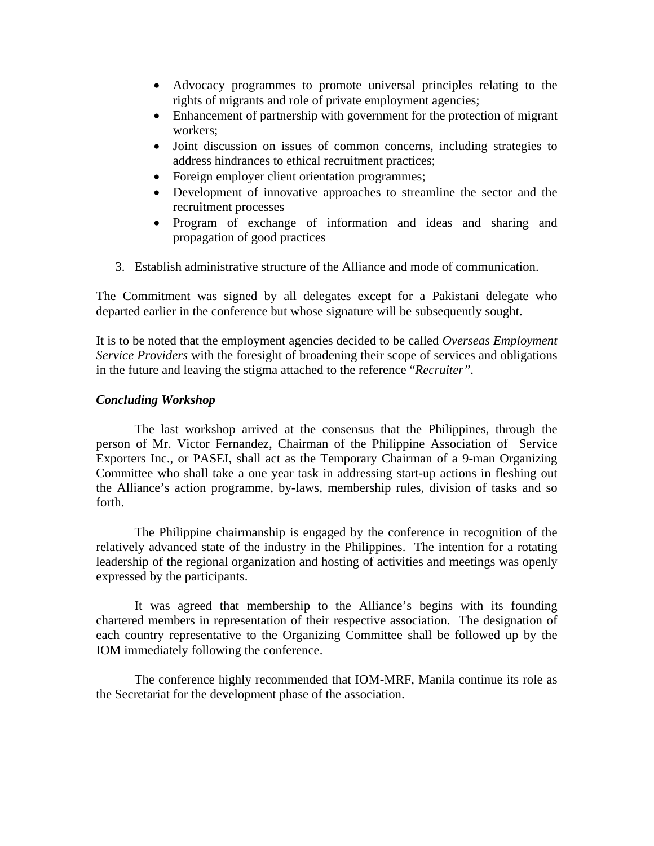- Advocacy programmes to promote universal principles relating to the rights of migrants and role of private employment agencies;
- Enhancement of partnership with government for the protection of migrant workers;
- Joint discussion on issues of common concerns, including strategies to address hindrances to ethical recruitment practices;
- Foreign employer client orientation programmes;
- Development of innovative approaches to streamline the sector and the recruitment processes
- Program of exchange of information and ideas and sharing and propagation of good practices
- 3. Establish administrative structure of the Alliance and mode of communication.

The Commitment was signed by all delegates except for a Pakistani delegate who departed earlier in the conference but whose signature will be subsequently sought.

It is to be noted that the employment agencies decided to be called *Overseas Employment Service Providers* with the foresight of broadening their scope of services and obligations in the future and leaving the stigma attached to the reference "*Recruiter".* 

# *Concluding Workshop*

 The last workshop arrived at the consensus that the Philippines, through the person of Mr. Victor Fernandez, Chairman of the Philippine Association of Service Exporters Inc., or PASEI, shall act as the Temporary Chairman of a 9-man Organizing Committee who shall take a one year task in addressing start-up actions in fleshing out the Alliance's action programme, by-laws, membership rules, division of tasks and so forth.

 The Philippine chairmanship is engaged by the conference in recognition of the relatively advanced state of the industry in the Philippines. The intention for a rotating leadership of the regional organization and hosting of activities and meetings was openly expressed by the participants.

 It was agreed that membership to the Alliance's begins with its founding chartered members in representation of their respective association. The designation of each country representative to the Organizing Committee shall be followed up by the IOM immediately following the conference.

 The conference highly recommended that IOM-MRF, Manila continue its role as the Secretariat for the development phase of the association.